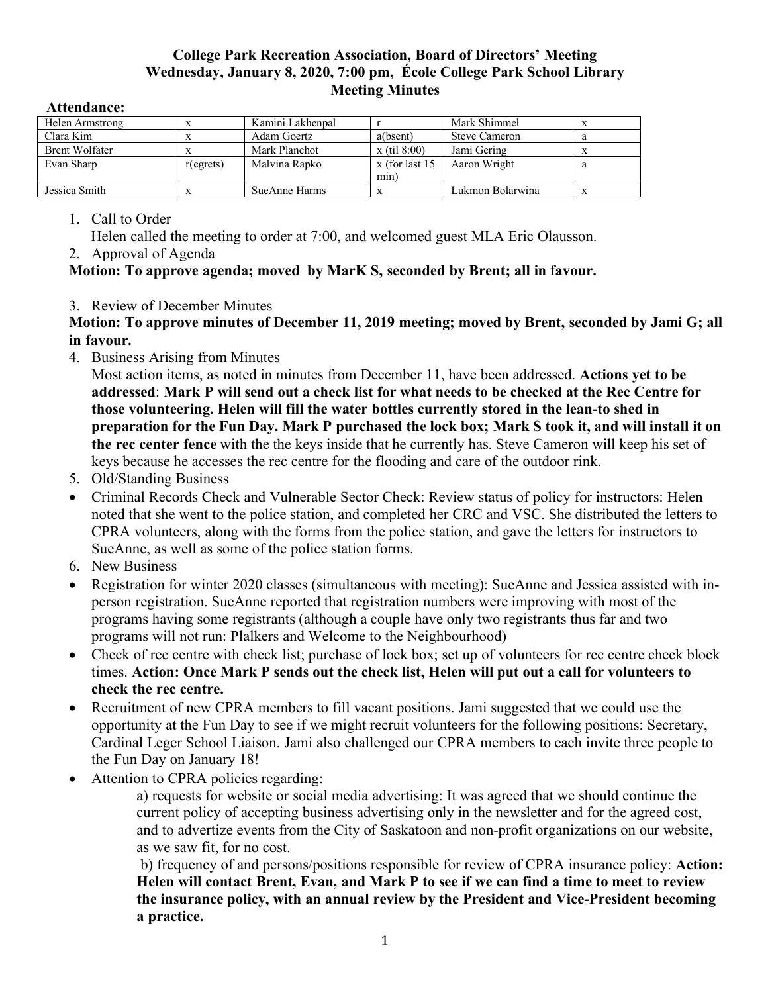## **College Park Recreation Association, Board of Directors' Meeting Wednesday, January 8, 2020, 7:00 pm, École College Park School Library Meeting Minutes**

| Helen Armstrong       |              | Kamini Lakhenpal |                  | Mark Shimmel         |   |
|-----------------------|--------------|------------------|------------------|----------------------|---|
| Clara Kim             |              | Adam Goertz      | a(bsent)         | <b>Steve Cameron</b> | a |
| <b>Brent Wolfater</b> |              | Mark Planchot    | $x$ (til 8:00)   | Jami Gering          |   |
| Evan Sharp            | $r$ (egrets) | Malvina Rapko    | $x$ (for last 15 | Aaron Wright         | a |
|                       |              |                  | min)             |                      |   |
| Jessica Smith         |              | SueAnne Harms    |                  | Lukmon Bolarwina     |   |

## **Attendance:**

1. Call to Order

Helen called the meeting to order at 7:00, and welcomed guest MLA Eric Olausson.

2. Approval of Agenda

## **Motion: To approve agenda; moved by MarK S, seconded by Brent; all in favour.**

3. Review of December Minutes

**Motion: To approve minutes of December 11, 2019 meeting; moved by Brent, seconded by Jami G; all in favour.**

4. Business Arising from Minutes

Most action items, as noted in minutes from December 11, have been addressed. **Actions yet to be addressed**: **Mark P will send out a check list for what needs to be checked at the Rec Centre for those volunteering. Helen will fill the water bottles currently stored in the lean-to shed in preparation for the Fun Day. Mark P purchased the lock box; Mark S took it, and will install it on the rec center fence** with the the keys inside that he currently has. Steve Cameron will keep his set of keys because he accesses the rec centre for the flooding and care of the outdoor rink.

- 5. Old/Standing Business
- Criminal Records Check and Vulnerable Sector Check: Review status of policy for instructors: Helen noted that she went to the police station, and completed her CRC and VSC. She distributed the letters to CPRA volunteers, along with the forms from the police station, and gave the letters for instructors to SueAnne, as well as some of the police station forms.
- 6. New Business
- Registration for winter 2020 classes (simultaneous with meeting): SueAnne and Jessica assisted with inperson registration. SueAnne reported that registration numbers were improving with most of the programs having some registrants (although a couple have only two registrants thus far and two programs will not run: Plalkers and Welcome to the Neighbourhood)
- Check of rec centre with check list; purchase of lock box; set up of volunteers for rec centre check block times. **Action: Once Mark P sends out the check list, Helen will put out a call for volunteers to check the rec centre.**
- Recruitment of new CPRA members to fill vacant positions. Jami suggested that we could use the opportunity at the Fun Day to see if we might recruit volunteers for the following positions: Secretary, Cardinal Leger School Liaison. Jami also challenged our CPRA members to each invite three people to the Fun Day on January 18!
- Attention to CPRA policies regarding:

a) requests for website or social media advertising: It was agreed that we should continue the current policy of accepting business advertising only in the newsletter and for the agreed cost, and to advertize events from the City of Saskatoon and non-profit organizations on our website, as we saw fit, for no cost.

b) frequency of and persons/positions responsible for review of CPRA insurance policy: **Action: Helen will contact Brent, Evan, and Mark P to see if we can find a time to meet to review the insurance policy, with an annual review by the President and Vice-President becoming a practice.**